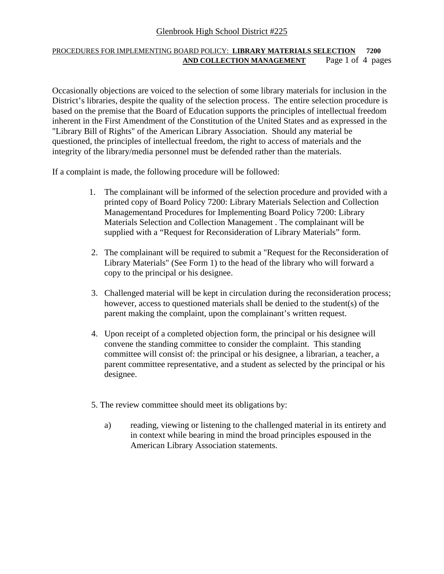# Glenbrook High School District #225

### PROCEDURES FOR IMPLEMENTING BOARD POLICY: **LIBRARY MATERIALS SELECTION 7200 AND COLLECTION MANAGEMENT** Page 1 of 4 pages

Occasionally objections are voiced to the selection of some library materials for inclusion in the District's libraries, despite the quality of the selection process. The entire selection procedure is based on the premise that the Board of Education supports the principles of intellectual freedom inherent in the First Amendment of the Constitution of the United States and as expressed in the "Library Bill of Rights" of the American Library Association. Should any material be questioned, the principles of intellectual freedom, the right to access of materials and the integrity of the library/media personnel must be defended rather than the materials.

If a complaint is made, the following procedure will be followed:

- 1. The complainant will be informed of the selection procedure and provided with a printed copy of Board Policy 7200: Library Materials Selection and Collection Managementand Procedures for Implementing Board Policy 7200: Library Materials Selection and Collection Management . The complainant will be supplied with a "Request for Reconsideration of Library Materials" form.
- 2. The complainant will be required to submit a "Request for the Reconsideration of Library Materials" (See Form 1) to the head of the library who will forward a copy to the principal or his designee.
- 3. Challenged material will be kept in circulation during the reconsideration process; however, access to questioned materials shall be denied to the student(s) of the parent making the complaint, upon the complainant's written request.
- 4. Upon receipt of a completed objection form, the principal or his designee will convene the standing committee to consider the complaint. This standing committee will consist of: the principal or his designee, a librarian, a teacher, a parent committee representative, and a student as selected by the principal or his designee.
- 5. The review committee should meet its obligations by:
	- a) reading, viewing or listening to the challenged material in its entirety and in context while bearing in mind the broad principles espoused in the American Library Association statements.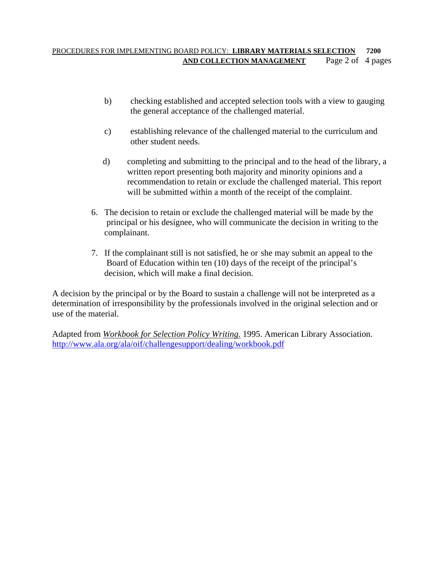### PROCEDURES FOR IMPLEMENTING BOARD POLICY: **LIBRARY MATERIALS SELECTION 7200 AND COLLECTION MANAGEMENT** Page 2 of 4 pages

- b) checking established and accepted selection tools with a view to gauging the general acceptance of the challenged material.
- c) establishing relevance of the challenged material to the curriculum and other student needs.
- d) completing and submitting to the principal and to the head of the library, a written report presenting both majority and minority opinions and a recommendation to retain or exclude the challenged material. This report will be submitted within a month of the receipt of the complaint.
- 6. The decision to retain or exclude the challenged material will be made by the principal or his designee, who will communicate the decision in writing to the complainant.
- 7. If the complainant still is not satisfied, he or she may submit an appeal to the Board of Education within ten (10) days of the receipt of the principal's decision, which will make a final decision.

A decision by the principal or by the Board to sustain a challenge will not be interpreted as a determination of irresponsibility by the professionals involved in the original selection and or use of the material.

Adapted from *Workbook for Selection Policy Writing*. 1995. American Library Association. http://www.ala.org/ala/oif/challengesupport/dealing/workbook.pdf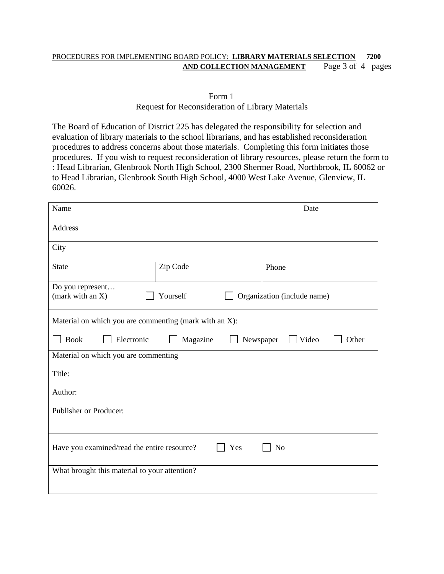#### PROCEDURES FOR IMPLEMENTING BOARD POLICY: **LIBRARY MATERIALS SELECTION 7200 AND COLLECTION MANAGEMENT** Page 3 of 4 pages

#### Form 1 Request for Reconsideration of Library Materials

The Board of Education of District 225 has delegated the responsibility for selection and evaluation of library materials to the school librarians, and has established reconsideration procedures to address concerns about those materials. Completing this form initiates those procedures. If you wish to request reconsideration of library resources, please return the form to : Head Librarian, Glenbrook North High School, 2300 Shermer Road, Northbrook, IL 60062 or to Head Librarian, Glenbrook South High School, 4000 West Lake Avenue, Glenview, IL 60026.

| Name                                                                            |          | Date  |  |
|---------------------------------------------------------------------------------|----------|-------|--|
| Address                                                                         |          |       |  |
| City                                                                            |          |       |  |
| <b>State</b>                                                                    | Zip Code | Phone |  |
| Do you represent<br>Yourself<br>(mark with an X)<br>Organization (include name) |          |       |  |
| Material on which you are commenting (mark with an X):                          |          |       |  |
| <b>Book</b><br>Magazine<br>Video<br>Electronic<br>Newspaper<br>Other            |          |       |  |
| Material on which you are commenting                                            |          |       |  |
| Title:                                                                          |          |       |  |
| Author:                                                                         |          |       |  |
| Publisher or Producer:                                                          |          |       |  |
|                                                                                 |          |       |  |
| Have you examined/read the entire resource?<br>N <sub>o</sub><br>Yes            |          |       |  |
| What brought this material to your attention?                                   |          |       |  |